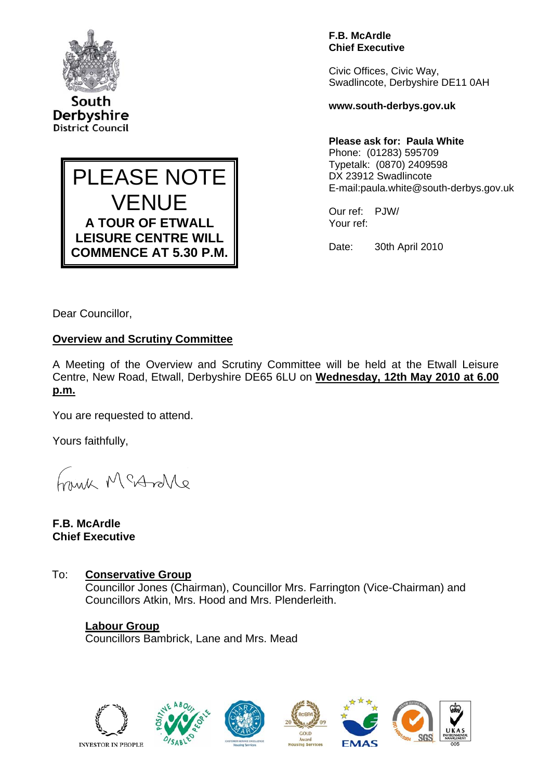

South Derbyshire **District Council** 



**F.B. McArdle Chief Executive** 

Civic Offices, Civic Way, Swadlincote, Derbyshire DE11 0AH

**www.south-derbys.gov.uk** 

### **Please ask for: Paula White**

Phone: (01283) 595709 Typetalk: (0870) 2409598 DX 23912 Swadlincote E-mail:paula.white@south-derbys.gov.uk

Our ref: PJW/ Your ref:

Date: 30th April 2010

Dear Councillor,

## **Overview and Scrutiny Committee**

A Meeting of the Overview and Scrutiny Committee will be held at the Etwall Leisure Centre, New Road, Etwall, Derbyshire DE65 6LU on **Wednesday, 12th May 2010 at 6.00 p.m.**

You are requested to attend.

Yours faithfully,

haigh McAndre

**F.B. McArdle Chief Executive** 

To: **Conservative Group** Councillor Jones (Chairman), Councillor Mrs. Farrington (Vice-Chairman) and Councillors Atkin, Mrs. Hood and Mrs. Plenderleith.

**Labour Group** Councillors Bambrick, Lane and Mrs. Mead